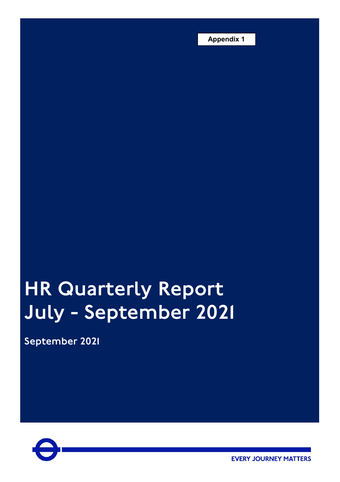**Appendix 1**

# HR Quarterly Report July - September 2021

September 2021



**EVERY JOURNEY MATTERS**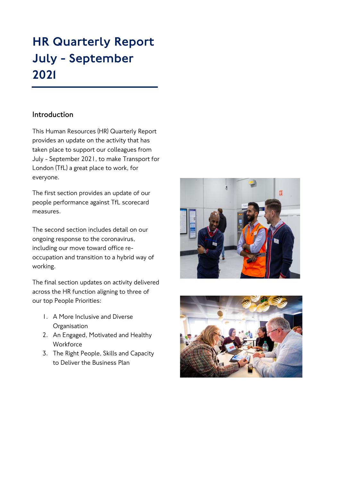# HR Quarterly Report July - September 2021

# **Introduction**

This Human Resources (HR) Quarterly Report provides an update on the activity that has taken place to support our colleagues from July - September 2021, to make Transport for London (TfL) a great place to work, for everyone.

The first section provides an update of our people performance against TfL scorecard measures.

The second section includes detail on our ongoing response to the coronavirus, including our move toward office reoccupation and transition to a hybrid way of working.

The final section updates on activity delivered across the HR function aligning to three of our top People Priorities:

- 1. A More Inclusive and Diverse **Organisation**
- 2. An Engaged, Motivated and Healthy **Workforce**
- 3. The Right People, Skills and Capacity to Deliver the Business Plan



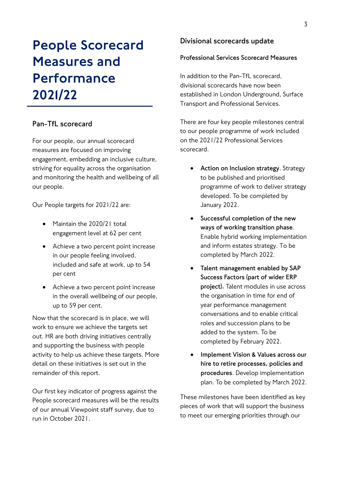# People Scorecard Measures and Performance 2021/22

# **Pan-TfL scorecard**

For our people, our annual scorecard measures are focused on improving engagement, embedding an inclusive culture, striving for equality across the organisation and monitoring the health and wellbeing of all our people.

Our People targets for 2021/22 are:

- Maintain the 2020/21 total engagement level at 62 per cent
- Achieve a two percent point increase in our people feeling involved, included and safe at work, up to 54 per cent
- Achieve a two percent point increase in the overall wellbeing of our people, up to 59 per cent.

Now that the scorecard is in place, we will work to ensure we achieve the targets set out. HR are both driving initiatives centrally and supporting the business with people activity to help us achieve these targets. More detail on these initiatives is set out in the remainder of this report.

Our first key indicator of progress against the People scorecard measures will be the results of our annual Viewpoint staff survey, due to run in October 2021.

# **Divisional scorecards update**

## **Professional Services Scorecard Measures**

In addition to the Pan-TfL scorecard, divisional scorecards have now been established in London Underground, Surface Transport and Professional Services.

There are four key people milestones central to our people programme of work included on the 2021/22 Professional Services scorecard.

- **Action on Inclusion strategy**. Strategy to be published and prioritised programme of work to deliver strategy developed. To be completed by January 2022.
- **Successful completion of the new ways of working transition phase**. Enable hybrid working implementation and inform estates strategy. To be completed by March 2022.
- **Talent management enabled by SAP Success Factors (part of wider ERP project).** Talent modules in use across the organisation in time for end of year performance management conversations and to enable critical roles and succession plans to be added to the system. To be completed by February 2022.
- **Implement Vision & Values across our hire to retire processes, policies and procedures**. Develop implementation plan. To be completed by March 2022.

These milestones have been identified as key pieces of work that will support the business to meet our emerging priorities through our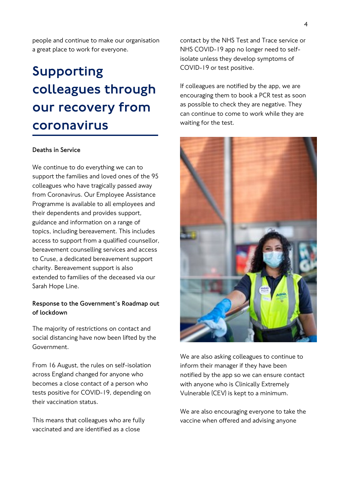people and continue to make our organisation a great place to work for everyone.

# Supporting colleagues through our recovery from coronavirus

# **Deaths in Service**

We continue to do everything we can to support the families and loved ones of the 95 colleagues who have tragically passed away from Coronavirus. Our Employee Assistance Programme is available to all employees and their dependents and provides support, guidance and information on a range of topics, including bereavement. This includes access to support from a qualified counsellor, bereavement counselling services and access to Cruse, a dedicated bereavement support charity. Bereavement support is also extended to families of the deceased via our Sarah Hope Line.

# **Response to the Government's Roadmap out of lockdown**

The majority of restrictions on contact and social distancing have now been lifted by the Government.

From 16 August, the rules on self-isolation across England changed for anyone who becomes a close contact of a person who tests positive for COVID-19, depending on their vaccination status.

This means that colleagues who are fully vaccinated and are identified as a close

contact by the NHS Test and Trace service or NHS COVID-19 app no longer need to selfisolate unless they develop symptoms of COVID-19 or test positive.

If colleagues are notified by the app, we are encouraging them to book a PCR test as soon as possible to check they are negative. They can continue to come to work while they are waiting for the test.



We are also asking colleagues to continue to inform their manager if they have been notified by the app so we can ensure contact with anyone who is Clinically Extremely Vulnerable (CEV) is kept to a minimum.

We are also encouraging everyone to take the vaccine when offered and advising anyone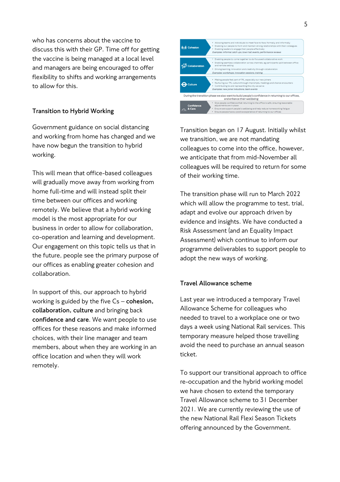who has concerns about the vaccine to discuss this with their GP. Time off for getting the vaccine is being managed at a local level and managers are being encouraged to offer flexibility to shifts and working arrangements to allow for this.

# **Transition to Hybrid Working**

Government guidance on social distancing and working from home has changed and we have now begun the transition to hybrid working.

This will mean that office-based colleagues will gradually move away from working from home full-time and will instead split their time between our offices and working remotely. We believe that a hybrid working model is the most appropriate for our business in order to allow for collaboration, co-operation and learning and development. Our engagement on this topic tells us that in the future, people see the primary purpose of our offices as enabling greater cohesion and collaboration.

In support of this, our approach to hybrid working is guided by the five Cs – **cohesion, collaboration, culture** and bringing back **confidence and care**. We want people to use offices for these reasons and make informed choices, with their line manager and team members, about when they are working in an office location and when they will work remotely.

| <b>Cohesion</b>    | Allowing teams and individuals to meet face to face, formally and informally<br>٠<br>Enabling our people to form and maintain strong relationships with their colleagues<br>. Enabling leaders to engage their people effectively<br>Examples: informal catch ups, town hall events, performance reviews         |
|--------------------|------------------------------------------------------------------------------------------------------------------------------------------------------------------------------------------------------------------------------------------------------------------------------------------------------------------|
| <b>Ilaboration</b> | . Enabling people to come together to do focussed collaborative work<br>Enabling seamless collaboration across channels, eg participants split between office<br>and remote setting<br>· Driving learning, innovation and creativity through collaboration<br>Examples: workshops, innovation sessions, training |
| `ulture            | Making people feel part of TfL, especially our new joiners<br>. Nurturing our TfL culture through impromptu meetings and chance encounters<br>. Contributing to and representing the city we serve<br>Examples: new joiner inductions, team events                                                               |
|                    | During the transition phase we also want to build people's confidence in returning to our offices,<br>and enhance their wellbeing:                                                                                                                                                                               |
| Confidence         | Give people confidence that returning to the office is safe, ensuring reasonable<br>adjustments are in place<br>* Ensure we support people's wellbeing and help reduce homeworking fatigue<br>Ensure people have a positive experience of returning to our offices                                               |

Transition began on 17 August. Initially whilst we transition, we are not mandating colleagues to come into the office, however, we anticipate that from mid-November all colleagues will be required to return for some of their working time.

The transition phase will run to March 2022 which will allow the programme to test, trial, adapt and evolve our approach driven by evidence and insights. We have conducted a Risk Assessment (and an Equality Impact Assessment) which continue to inform our programme deliverables to support people to adopt the new ways of working.

# **Travel Allowance scheme**

Last year we introduced a temporary Travel Allowance Scheme for colleagues who needed to travel to a workplace one or two days a week using National Rail services. This temporary measure helped those travelling avoid the need to purchase an annual season ticket.

To support our transitional approach to office re-occupation and the hybrid working model we have chosen to extend the temporary Travel Allowance scheme to 31 December 2021. We are currently reviewing the use of the new National Rail Flexi Season Tickets offering announced by the Government.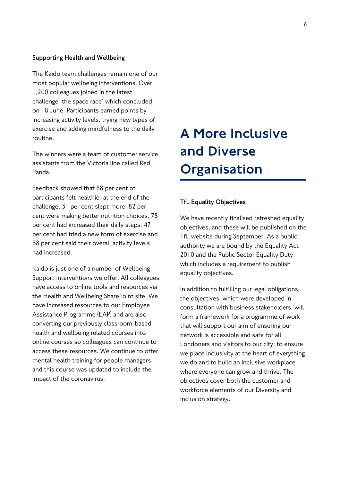#### **Supporting Health and Wellbeing**

The Kaido team challenges remain one of our most popular wellbeing interventions. Over 1,200 colleagues joined in the latest challenge 'the space race' which concluded on 18 June. Participants earned points by increasing activity levels, trying new types of exercise and adding mindfulness to the daily routine.

The winners were a team of customer service assistants from the Victoria line called Red Panda.

Feedback showed that 88 per cent of participants felt healthier at the end of the challenge, 31 per cent slept more, 82 per cent were making better nutrition choices, 78 per cent had increased their daily steps, 47 per cent had tried a new form of exercise and 88 per cent said their overall activity levels had increased.

Kaido is just one of a number of Wellbeing Support interventions we offer. All colleagues have access to online tools and resources via the Health and Wellbeing SharePoint site. We have increased resources to our Employee Assistance Programme (EAP) and are also converting our previously classroom-based health and wellbeing related courses into online courses so colleagues can continue to access these resources. We continue to offer mental health training for people managers and this course was updated to include the impact of the coronavirus.

# A More Inclusive and Diverse **Organisation**

### **TfL Equality Objectives**

We have recently finalised refreshed equality objectives, and these will be published on the TfL website during September. As a public authority we are bound by the Equality Act 2010 and the Public Sector Equality Duty, which includes a requirement to publish equality objectives.

In addition to fulfilling our legal obligations, the objectives, which were developed in consultation with business stakeholders, will form a framework for a programme of work that will support our aim of ensuring our network is accessible and safe for all Londoners and visitors to our city; to ensure we place inclusivity at the heart of everything we do and to build an inclusive workplace where everyone can grow and thrive. The objectives cover both the customer and workforce elements of our Diversity and Inclusion strategy.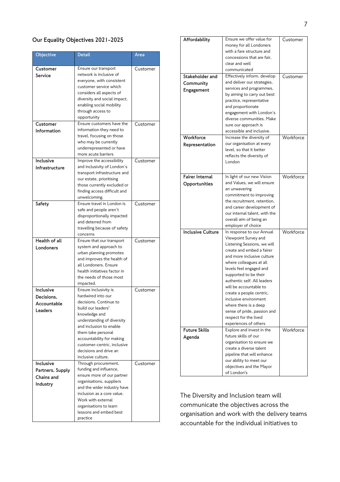# **Our Equality Objectives 2021-2025**

| Objective        | <b>Detail</b>                                               | Area     |
|------------------|-------------------------------------------------------------|----------|
| Customer         | Ensure our transport                                        | Customer |
| Service          | network is inclusive of                                     |          |
|                  | everyone, with consistent                                   |          |
|                  | customer service which                                      |          |
|                  | considers all aspects of                                    |          |
|                  | diversity and social impact,                                |          |
|                  | enabling social mobility                                    |          |
|                  | through access to<br>opportunity                            |          |
| Customer         | Ensure customers have the                                   | Customer |
| Information      | information they need to                                    |          |
|                  | travel, focusing on those                                   |          |
|                  | who may be currently                                        |          |
|                  | underrepresented or have                                    |          |
|                  | more acute barriers                                         |          |
| Inclusive        | Improve the accessibility                                   | Customer |
| Infrastructure   | and inclusivity of London's                                 |          |
|                  | transport infrastructure and                                |          |
|                  | our estate, prioritising                                    |          |
|                  | those currently excluded or<br>finding access difficult and |          |
|                  | unwelcoming.                                                |          |
| Safety           | Ensure travel in London is                                  | Customer |
|                  | safe and people aren't                                      |          |
|                  | disproportionally impacted                                  |          |
|                  | and deterred from                                           |          |
|                  | travelling because of safety                                |          |
|                  | concerns                                                    |          |
| Health of all    | Ensure that our transport                                   | Customer |
| Londoners        | system and approach to                                      |          |
|                  | urban planning promotes                                     |          |
|                  | and improves the health of<br>all Londoners. Ensure         |          |
|                  | health initiatives factor in                                |          |
|                  | the needs of those most                                     |          |
|                  | impacted.                                                   |          |
| Inclusive        | Ensure inclusivity is                                       | Customer |
| Decisions.       | hardwired into our                                          |          |
| Accountable      | decisions. Continue to                                      |          |
| Leaders          | build our leaders                                           |          |
|                  | knowledge and                                               |          |
|                  | understanding of diversity<br>and inclusion to enable       |          |
|                  | them take personal                                          |          |
|                  | accountability for making                                   |          |
|                  | customer-centric, inclusive                                 |          |
|                  | decisions and drive an                                      |          |
|                  | inclusive culture.                                          |          |
| Inclusive        | Through procurement,                                        | Customer |
| Partners, Supply | funding and influence,                                      |          |
| Chains and       | ensure more of our partner                                  |          |
| Industry         | organisations, suppliers                                    |          |
|                  | and the wider industry have<br>inclusion as a core value.   |          |
|                  | Work with external                                          |          |
|                  | organisations to learn                                      |          |
|                  | lessons and embed best                                      |          |
|                  | practice                                                    |          |
|                  |                                                             |          |

| Affordability            | Ensure we offer value for                               | Customer  |
|--------------------------|---------------------------------------------------------|-----------|
|                          | money for all Londoners                                 |           |
|                          | with a fare structure and                               |           |
|                          | concessions that are fair,                              |           |
|                          | clear and well                                          |           |
|                          | communicated                                            |           |
| Stakeholder and          | Effectively inform, develop                             | Customer  |
| Community                | and deliver our strategies,                             |           |
| Engagement               | services and programmes,                                |           |
|                          | by aiming to carry out best<br>practice, representative |           |
|                          | and proportionate                                       |           |
|                          | engagement with London's                                |           |
|                          | diverse communities. Make                               |           |
|                          | sure our approach is                                    |           |
|                          | accessible and inclusive.                               |           |
| Workforce                | Increase the diversity of                               | Workforce |
| Representation           | our organisation at every                               |           |
|                          | level, so that it better                                |           |
|                          | reflects the diversity of                               |           |
|                          | London                                                  |           |
|                          |                                                         |           |
| <b>Fairer Internal</b>   | In light of our new Vision                              | Workforce |
| Opportunities            | and Values, we will ensure                              |           |
|                          | an unwavering                                           |           |
|                          | commitment to improving                                 |           |
|                          | the recruitment, retention,                             |           |
|                          | and career development of                               |           |
|                          | our internal talent, with the                           |           |
|                          | overall aim of being an                                 |           |
|                          | employer of choice                                      |           |
| <b>Inclusive Culture</b> | In response to our Annual                               | Workforce |
|                          | Viewpoint Survey and                                    |           |
|                          | Listening Sessions, we will                             |           |
|                          | create and embed a fairer<br>and more inclusive culture |           |
|                          | where colleagues at all                                 |           |
|                          | levels feel engaged and                                 |           |
|                          | supported to be their                                   |           |
|                          | authentic self. All leaders                             |           |
|                          | will be accountable to                                  |           |
|                          | create a people centric,                                |           |
|                          | inclusive environment                                   |           |
|                          | where there is a deep                                   |           |
|                          | sense of pride, passion and                             |           |
|                          | respect for the lived                                   |           |
|                          | experiences of others                                   |           |
| <b>Future Skills</b>     | Explore and invest in the                               | Workforce |
| Agenda                   | future skills of our                                    |           |
|                          | organisation to ensure we                               |           |
|                          | create a diverse talent                                 |           |
|                          | pipeline that will enhance                              |           |
|                          | our ability to meet our<br>objectives and the Mayor     |           |
|                          | of London's                                             |           |
|                          |                                                         |           |

The Diversity and Inclusion team will communicate the objectives across the organisation and work with the delivery teams accountable for the individual initiatives to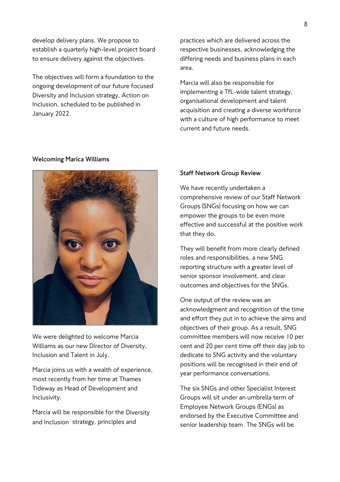develop delivery plans. We propose to establish a quarterly high-level project board to ensure delivery against the objectives.

The objectives will form a foundation to the ongoing development of our future focused Diversity and Inclusion strategy, Action on Inclusion, scheduled to be published in January 2022.

#### **Welcoming Marica Williams**



We were delighted to welcome Marcia Williams as our new Director of Diversity, Inclusion and Talent in July.

Marcia joins us with a wealth of experience, most recently from her time at Thames Tideway as Head of Development and Inclusivity.

Marcia will be responsible for the Diversity and Inclusion strategy, principles and

practices which are delivered across the respective businesses, acknowledging the differing needs and business plans in each area.

Marcia will also be responsible for implementing a TfL-wide talent strategy, organisational development and talent acquisition and creating a diverse workforce with a culture of high performance to meet current and future needs.

## **Staff Network Group Review**

We have recently undertaken a comprehensive review of our Staff Network Groups (SNGs) focusing on how we can empower the groups to be even more effective and successful at the positive work that they do.

They will benefit from more clearly defined roles and responsibilities, a new SNG reporting structure with a greater level of senior sponsor involvement, and clear outcomes and objectives for the SNGs.

One output of the review was an acknowledgment and recognition of the time and effort they put in to achieve the aims and objectives of their group. As a result, SNG committee members will now receive 10 per cent and 20 per cent time off their day job to dedicate to SNG activity and the voluntary positions will be recognised in their end of year performance conversations.

The six SNGs and other Specialist Interest Groups will sit under an umbrella term of Employee Network Groups (ENGs) as endorsed by the Executive Committee and senior leadership team. The SNGs will be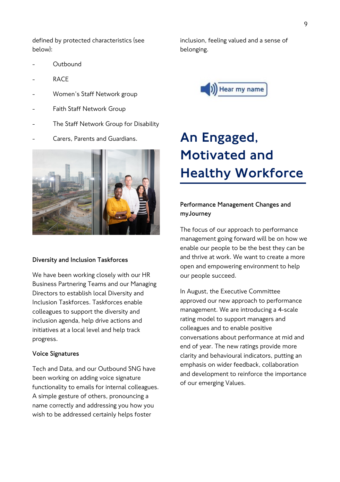9

defined by protected characteristics (see below):

- **Outbound**
- RACE
- Women's Staff Network group
- Faith Staff Network Group
- The Staff Network Group for Disability
- Carers, Parents and Guardians.



#### **Diversity and Inclusion Taskforces**

We have been working closely with our HR Business Partnering Teams and our Managing Directors to establish local Diversity and Inclusion Taskforces. Taskforces enable colleagues to support the diversity and inclusion agenda, help drive actions and initiatives at a local level and help track progress.

#### **Voice Signatures**

Tech and Data, and our Outbound SNG have been working on adding voice signature functionality to emails for internal colleagues. A simple gesture of others, pronouncing a name correctly and addressing you how you wish to be addressed certainly helps foster

inclusion, feeling valued and a sense of belonging.



# An Engaged, Motivated and Healthy Workforce

# **Performance Management Changes and myJourney**

The focus of our approach to performance management going forward will be on how we enable our people to be the best they can be and thrive at work. We want to create a more open and empowering environment to help our people succeed.

In August, the Executive Committee approved our new approach to performance management. We are introducing a 4-scale rating model to support managers and colleagues and to enable positive conversations about performance at mid and end of year. The new ratings provide more clarity and behavioural indicators, putting an emphasis on wider feedback, collaboration and development to reinforce the importance of our emerging Values.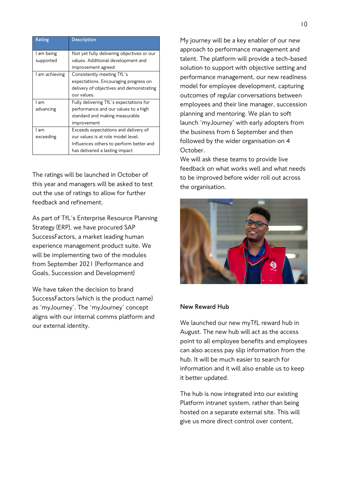| Rating         | <b>Description</b>                         |
|----------------|--------------------------------------------|
|                |                                            |
| l am being     | Not yet fully delivering objectives or our |
| supported      | values. Additional development and         |
|                | improvement agreed                         |
| l am achieving | Consistently meeting TfL's                 |
|                | expectations. Encouraging progress on      |
|                | delivery of objectives and demonstrating   |
|                | our values.                                |
| l am           | Fully delivering TfL's expectations for    |
| advancing      | performance and our values to a high       |
|                | standard and making measurable             |
|                | improvement                                |
| l am           | Exceeds expectations and delivery of       |
| exceeding      | our values is at role model level.         |
|                | Influences others to perform better and    |
|                | has delivered a lasting impact             |

The ratings will be launched in October of this year and managers will be asked to test out the use of ratings to allow for further feedback and refinement.

As part of TfL's Enterprise Resource Planning Strategy (ERP), we have procured SAP SuccessFactors, a market leading human experience management product suite. We will be implementing two of the modules from September 2021 (Performance and Goals, Succession and Development)

We have taken the decision to brand SuccessFactors (which is the product name) as 'myJourney'. The 'myJourney' concept aligns with our internal comms platform and our external identity.

My journey will be a key enabler of our new approach to performance management and talent. The platform will provide a tech-based solution to support with objective setting and performance management, our new readiness model for employee development, capturing outcomes of regular conversations between employees and their line manager, succession planning and mentoring. We plan to soft launch 'myJourney' with early adopters from the business from 6 September and then followed by the wider organisation on 4 October.

We will ask these teams to provide live feedback on what works well and what needs to be improved before wider roll out across the organisation.



#### **New Reward Hub**

We launched our new myTfL reward hub in August. The new hub will act as the access point to all employee benefits and employees can also access pay slip information from the hub. It will be much easier to search for information and it will also enable us to keep it better updated.

The hub is now integrated into our existing Platform intranet system, rather than being hosted on a separate external site. This will give us more direct control over content,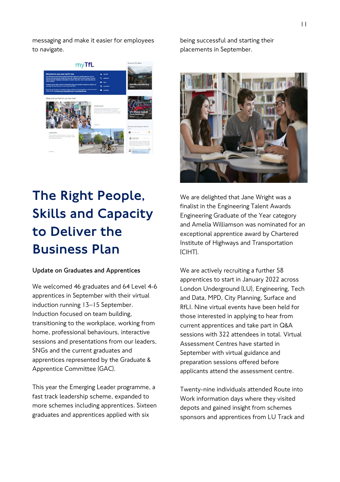messaging and make it easier for employees to navigate.



# The Right People, Skills and Capacity to Deliver the Business Plan

# **Update on Graduates and Apprentices**

We welcomed 46 graduates and 64 Level 4-6 apprentices in September with their virtual induction running 13–15 September. Induction focused on team building, transitioning to the workplace, working from home, professional behaviours, interactive sessions and presentations from our leaders, SNGs and the current graduates and apprentices represented by the Graduate & Apprentice Committee (GAC).

This year the Emerging Leader programme, a fast track leadership scheme, expanded to more schemes including apprentices. Sixteen graduates and apprentices applied with six

being successful and starting their placements in September.



We are delighted that Jane Wright was a finalist in the Engineering Talent Awards Engineering Graduate of the Year category and Amelia Williamson was nominated for an exceptional apprentice award by Chartered Institute of Highways and Transportation (CIHT).

We are actively recruiting a further 58 apprentices to start in January 2022 across London Underground (LU), Engineering, Tech and Data, MPD, City Planning, Surface and RfLI. Nine virtual events have been held for those interested in applying to hear from current apprentices and take part in Q&A sessions with 322 attendees in total. Virtual Assessment Centres have started in September with virtual guidance and preparation sessions offered before applicants attend the assessment centre.

Twenty-nine individuals attended Route into Work information days where they visited depots and gained insight from schemes sponsors and apprentices from LU Track and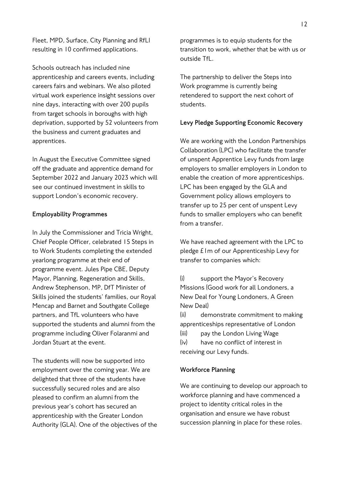Fleet, MPD, Surface, City Planning and RfLI resulting in 10 confirmed applications.

Schools outreach has included nine apprenticeship and careers events, including careers fairs and webinars. We also piloted virtual work experience insight sessions over nine days, interacting with over 200 pupils from target schools in boroughs with high deprivation, supported by 52 volunteers from the business and current graduates and apprentices.

In August the Executive Committee signed off the graduate and apprentice demand for September 2022 and January 2023 which will see our continued investment in skills to support London's economic recovery.

### **Employability Programmes**

In July the Commissioner and Tricia Wright, Chief People Officer, celebrated 15 Steps in to Work Students completing the extended yearlong programme at their end of programme event. Jules Pipe CBE, Deputy Mayor, Planning, Regeneration and Skills, Andrew Stephenson, MP, DfT Minister of Skills joined the students' families, our Royal Mencap and Barnet and Southgate College partners, and TfL volunteers who have supported the students and alumni from the programme including Oliver Folaranmi and Jordan Stuart at the event.

The students will now be supported into employment over the coming year. We are delighted that three of the students have successfully secured roles and are also pleased to confirm an alumni from the previous year's cohort has secured an apprenticeship with the Greater London Authority (GLA). One of the objectives of the

programmes is to equip students for the transition to work, whether that be with us or outside TfL.

The partnership to deliver the Steps into Work programme is currently being retendered to support the next cohort of students.

### **Levy Pledge Supporting Economic Recovery**

We are working with the London Partnerships Collaboration (LPC) who facilitate the transfer of unspent Apprentice Levy funds from large employers to smaller employers in London to enable the creation of more apprenticeships. LPC has been engaged by the GLA and Government policy allows employers to transfer up to 25 per cent of unspent Levy funds to smaller employers who can benefit from a transfer.

We have reached agreement with the LPC to pledge £1m of our Apprenticeship Levy for transfer to companies which:

(i) support the Mayor's Recovery Missions (Good work for all Londoners, a New Deal for Young Londoners, A Green New Deal)

(ii) demonstrate commitment to making apprenticeships representative of London

(iii) pay the London Living Wage

(iv) have no conflict of interest in receiving our Levy funds.

### **Workforce Planning**

We are continuing to develop our approach to workforce planning and have commenced a project to identity critical roles in the organisation and ensure we have robust succession planning in place for these roles.